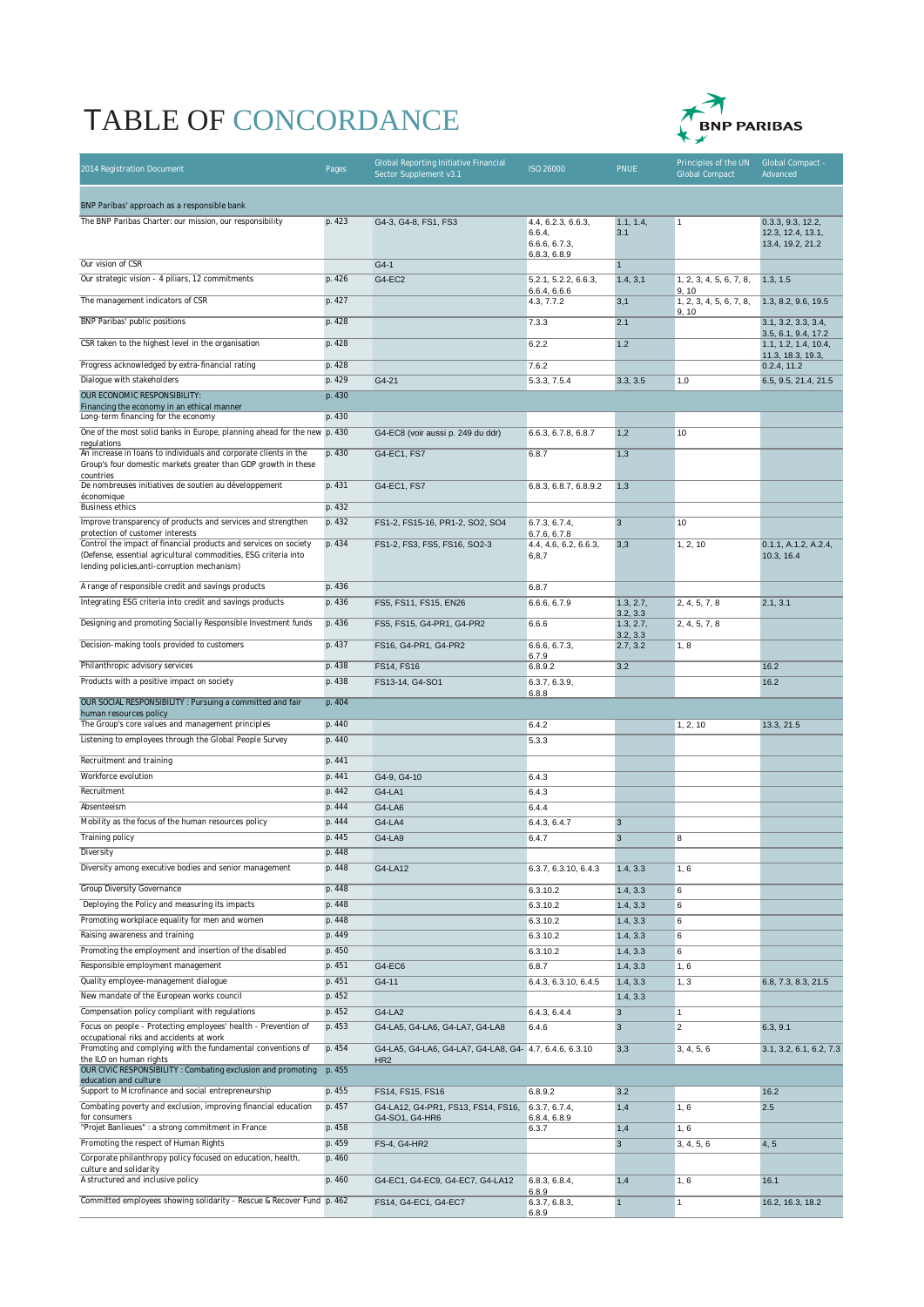## TABLE OF CONCORDANCE



| 2014 Registration Document                                                                                                                                                                                              | Pages            | Global Reporting Initiative Financial<br>Sector Supplement v3.1           | ISO 26000                                      | <b>PNUE</b>              | Principles of the UN<br><b>Global Compact</b> | Global Compact -<br>Advanced                               |
|-------------------------------------------------------------------------------------------------------------------------------------------------------------------------------------------------------------------------|------------------|---------------------------------------------------------------------------|------------------------------------------------|--------------------------|-----------------------------------------------|------------------------------------------------------------|
| BNP Paribas' approach as a responsible bank                                                                                                                                                                             |                  |                                                                           |                                                |                          |                                               |                                                            |
| The BNP Paribas Charter: our mission, our responsibility                                                                                                                                                                | p. 423           | G4-3, G4-8, FS1, FS3                                                      | 4.4, 6.2.3, 6.6.3,<br>6.6.4,<br>6.6.6, 6.7.3,  | 1.1, 1.4,<br>3.1         | 1                                             | 0.3.3, 9.3, 12.2,<br>12.3, 12.4, 13.1,<br>13.4, 19.2, 21.2 |
| Our vision of CSR                                                                                                                                                                                                       |                  |                                                                           | 6.8.3, 6.8.9                                   |                          |                                               |                                                            |
| Our strategic vision - 4 piliars, 12 commitments                                                                                                                                                                        | p. 426           | $G4-1$<br>G4-EC2                                                          | 5.2.1, 5.2.2, 6.6.3,                           | $\mathbf{1}$<br>1.4, 3,1 | 1, 2, 3, 4, 5, 6, 7, 8,                       | 1.3, 1.5                                                   |
| The management indicators of CSR                                                                                                                                                                                        | p. 427           |                                                                           | 6.6.4, 6.6.6                                   | 3,1                      | 9, 10<br>1, 2, 3, 4, 5, 6, 7, 8,              | 1.3, 8.2, 9.6, 19.5                                        |
|                                                                                                                                                                                                                         |                  |                                                                           | 4.3, 7.7.2                                     |                          | 9, 10                                         |                                                            |
| BNP Paribas' public positions                                                                                                                                                                                           | p. 428           |                                                                           | 7.3.3                                          | 2.1                      |                                               | 3.1, 3.2, 3.3, 3.4,<br>3.5, 6.1, 9.4, 17.2                 |
| CSR taken to the highest level in the organisation                                                                                                                                                                      | p. 428           |                                                                           | 6.2.2                                          | 1.2                      |                                               | 1.1, 1.2, 1.4, 10.4,<br>11.3, 18.3, 19.3,                  |
| Progress acknowledged by extra-financial rating                                                                                                                                                                         | p. 428           |                                                                           | 7.6.2                                          |                          |                                               | 0.2.4, 11.2                                                |
| Dialogue with stakeholders                                                                                                                                                                                              | p. 429           | G4-21                                                                     | 5.3.3, 7.5.4                                   | 3.3, 3.5                 | 1,0                                           | 6.5, 9.5, 21.4, 21.5                                       |
| OUR ECONOMIC RESPONSIBILITY:<br>Financing the economy in an ethical manner                                                                                                                                              | p. 430           |                                                                           |                                                |                          |                                               |                                                            |
| Long-term financing for the economy                                                                                                                                                                                     | p. 430           |                                                                           |                                                |                          |                                               |                                                            |
| One of the most solid banks in Europe, planning ahead for the new p. 430<br>regulations                                                                                                                                 |                  | G4-EC8 (voir aussi p. 249 du ddr)                                         | 6.6.3, 6.7.8, 6.8.7                            | 1,2                      | 10                                            |                                                            |
| An increase in loans to individuals and corporate clients in the<br>Group's four domestic markets greater than GDP growth in these<br>countries                                                                         | p. 430           | G4-EC1, FS7                                                               | 6.8.7                                          | 1,3                      |                                               |                                                            |
| De nombreuses initiatives de soutien au développement                                                                                                                                                                   | p. 431           | G4-EC1, FS7                                                               | 6.8.3, 6.8.7, 6.8.9.2                          | 1,3                      |                                               |                                                            |
| économique<br><b>Business ethics</b>                                                                                                                                                                                    | p. 432           |                                                                           |                                                |                          |                                               |                                                            |
| Improve transparency of products and services and strengthen                                                                                                                                                            | p. 432           | FS1-2, FS15-16, PR1-2, SO2, SO4                                           | 6.7.3, 6.7.4,                                  | $\mathbf{3}$             | 10                                            |                                                            |
| protection of customer interests<br>Control the impact of financial products and services on society<br>(Defense, essential agricultural commodities, ESG criteria into<br>lending policies, anti-corruption mechanism) | p. 434           | FS1-2, FS3, FS5, FS16, SO2-3                                              | 6.7.6, 6.7.8<br>4.4, 4.6, 6.2, 6.6.3,<br>6,8,7 | 3,3                      | 1, 2, 10                                      | 0.1.1, A.1.2, A.2.4,<br>10.3, 16.4                         |
| A range of responsible credit and savings products                                                                                                                                                                      | p. 436           |                                                                           | 6.8.7                                          |                          |                                               |                                                            |
| Integrating ESG criteria into credit and savings products                                                                                                                                                               | p. 436           | FS5, FS11, FS15, EN26                                                     | 6.6.6, 6.7.9                                   | 1.3, 2.7,                | 2, 4, 5, 7, 8                                 | 2.1, 3.1                                                   |
| Designing and promoting Socially Responsible Investment funds                                                                                                                                                           | p. 436           | FS5, FS15, G4-PR1, G4-PR2                                                 | 6.6.6                                          | 3.2, 3.3<br>1.3, 2.7,    | 2, 4, 5, 7, 8                                 |                                                            |
| Decision-making tools provided to customers                                                                                                                                                                             | p. 437           | FS16, G4-PR1, G4-PR2                                                      | 6.6.6, 6.7.3,                                  | 3.2, 3.3<br>2.7, 3.2     | 1, 8                                          |                                                            |
| Philanthropic advisory services                                                                                                                                                                                         | p. 438           | FS14, FS16                                                                | 6.7.9<br>6.8.9.2                               | 3.2                      |                                               | 16.2                                                       |
| Products with a positive impact on society                                                                                                                                                                              | p. 438           | FS13-14, G4-SO1                                                           | 6.3.7, 6.3.9,                                  |                          |                                               | 16.2                                                       |
| OUR SOCIAL RESPONSIBILITY : Pursuing a committed and fair                                                                                                                                                               | p. 404           |                                                                           | 6.8.8                                          |                          |                                               |                                                            |
| human resources policy                                                                                                                                                                                                  |                  |                                                                           |                                                |                          |                                               |                                                            |
| The Group's core values and management principles<br>Listening to employees through the Global People Survey                                                                                                            | p. 440<br>p. 440 |                                                                           | 6.4.2<br>5.3.3                                 |                          | 1, 2, 10                                      | 13.3, 21.5                                                 |
|                                                                                                                                                                                                                         |                  |                                                                           |                                                |                          |                                               |                                                            |
| Recruitment and training<br>Workforce evolution                                                                                                                                                                         | p. 441<br>p. 441 | G4-9, G4-10                                                               | 6.4.3                                          |                          |                                               |                                                            |
| Recruitment                                                                                                                                                                                                             | p. 442           | G4-LA1                                                                    | 6.4.3                                          |                          |                                               |                                                            |
| Absenteeism                                                                                                                                                                                                             | p. 444           | G4-LA6                                                                    | 6.4.4                                          |                          |                                               |                                                            |
| Mobility as the focus of the human resources policy                                                                                                                                                                     | p. 444           | G4-LA4                                                                    | 6.4.3, 6.4.7                                   | 3                        |                                               |                                                            |
| <b>Training policy</b>                                                                                                                                                                                                  | p. 445           | G4-LA9                                                                    | 6.4.7                                          | $\mathbf{3}$             | 8                                             |                                                            |
| Diversity                                                                                                                                                                                                               | p. 448           |                                                                           |                                                |                          |                                               |                                                            |
| Diversity among executive bodies and senior management                                                                                                                                                                  | p. 448           | G4-LA12                                                                   | 6.3.7, 6.3.10, 6.4.3                           | 1.4, 3.3                 | 1,6                                           |                                                            |
| <b>Group Diversity Governance</b>                                                                                                                                                                                       | p. 448           |                                                                           | 6.3.10.2                                       | 1.4, 3.3                 | 6                                             |                                                            |
| Deploying the Policy and measuring its impacts                                                                                                                                                                          | p. 448           |                                                                           | 6.3.10.2                                       | 1.4, 3.3                 | 6                                             |                                                            |
| Promoting workplace equality for men and women<br>Raising awareness and training                                                                                                                                        | p. 448<br>p. 449 |                                                                           | 6.3.10.2<br>6.3.10.2                           | 1.4, 3.3<br>1.4, 3.3     | 6<br>6                                        |                                                            |
| Promoting the employment and insertion of the disabled                                                                                                                                                                  | p. 450           |                                                                           | 6.3.10.2                                       | 1.4, 3.3                 | 6                                             |                                                            |
| Responsible employment management                                                                                                                                                                                       | p. 451           | G4-EC6                                                                    | 6.8.7                                          | 1.4, 3.3                 | 1, 6                                          |                                                            |
| Quality employee-management dialogue                                                                                                                                                                                    | p. 451           | G4-11                                                                     | 6.4.3, 6.3.10, 6.4.5                           | 1.4, 3.3                 | 1, 3                                          | 6.8, 7.3, 8.3, 21.5                                        |
| New mandate of the European works council                                                                                                                                                                               | p. 452           |                                                                           |                                                | 1.4, 3.3                 |                                               |                                                            |
| Compensation policy compliant with regulations                                                                                                                                                                          | p. 452           | G4-LA2                                                                    | 6.4.3, 6.4.4                                   | $\mathbf{3}$             | $\mathbf{1}$                                  |                                                            |
| Focus on people - Protecting employees' health - Prevention of<br>occupational riks and accidents at work                                                                                                               | p. 453           | G4-LA5, G4-LA6, G4-LA7, G4-LA8                                            | 6.4.6                                          | $\overline{3}$           | $\overline{2}$                                | 6.3, 9.1                                                   |
| Promoting and complying with the fundamental conventions of<br>the ILO on human rights                                                                                                                                  | p. 454           | G4-LA5, G4-LA6, G4-LA7, G4-LA8, G4- 4.7, 6.4.6, 6.3.10<br>HR <sub>2</sub> |                                                | 3,3                      | 3, 4, 5, 6                                    | 3.1, 3.2, 6.1, 6.2, 7.3                                    |
| OUR CIVIC RESPONSIBILITY : Combating exclusion and promoting<br>education and culture                                                                                                                                   | p. 455           |                                                                           |                                                |                          |                                               |                                                            |
| Support to Microfinance and social entrepreneurship                                                                                                                                                                     | p. 455           | FS14, FS15, FS16                                                          | 6.8.9.2                                        | 3.2                      |                                               | 16.2                                                       |
| Combating poverty and exclusion, improving financial education<br>for consumers                                                                                                                                         | p. 457           | G4-LA12, G4-PR1, FS13, FS14, FS16,<br>G4-SO1, G4-HR6                      | 6.3.7, 6.7.4,<br>6.8.4, 6.8.9                  | 1,4                      | 1, 6                                          | 2.5                                                        |
| "Projet Banlieues" : a strong commitment in France                                                                                                                                                                      | p. 458           |                                                                           | 6.3.7                                          | 1,4                      | 1, 6                                          |                                                            |
| Promoting the respect of Human Rights                                                                                                                                                                                   | p. 459           | FS-4, G4-HR2                                                              |                                                | $\mathbf{3}$             | 3, 4, 5, 6                                    | 4, 5                                                       |
| Corporate philanthropy policy focused on education, health,<br>culture and solidarity                                                                                                                                   | p. 460           |                                                                           |                                                |                          |                                               |                                                            |
| A structured and inclusive policy                                                                                                                                                                                       | p. 460           | G4-EC1, G4-EC9, G4-EC7, G4-LA12                                           | 6.8.3, 6.8.4,<br>6.8.9                         | 1,4                      | 1, 6                                          | 16.1                                                       |
| Committed employees showing solidarity - Rescue & Recover Fund p. 462                                                                                                                                                   |                  | FS14, G4-EC1, G4-EC7                                                      | 6.3.7, 6.8.3,<br>6.8.9                         | $\mathbf{1}$             | $\mathbf{1}$                                  | 16.2, 16.3, 18.2                                           |